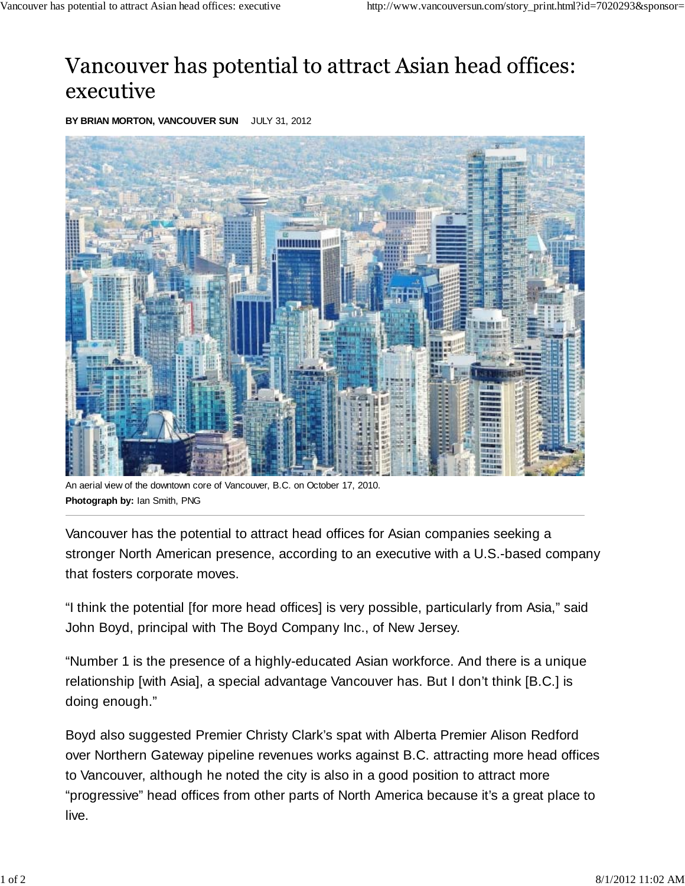## Vancouver has potential to attract Asian head offices: executive

**BY BRIAN MORTON, VANCOUVER SUN** JULY 31, 2012



aerial view of the downtown core of Vancouver, B.C. on October 17, 2010. **Photograph by:** Ian Smith, PNG

Vancouver has the potential to attract head offices for Asian companies seeking a stronger North American presence, according to an executive with a U.S.-based company that fosters corporate moves.

"I think the potential [for more head offices] is very possible, particularly from Asia," said John Boyd, principal with The Boyd Company Inc., of New Jersey.

"Number 1 is the presence of a highly-educated Asian workforce. And there is a unique relationship [with Asia], a special advantage Vancouver has. But I don't think [B.C.] is doing enough."

Boyd also suggested Premier Christy Clark's spat with Alberta Premier Alison Redford over Northern Gateway pipeline revenues works against B.C. attracting more head offices to Vancouver, although he noted the city is also in a good position to attract more "progressive" head offices from other parts of North America because it's a great place to live.